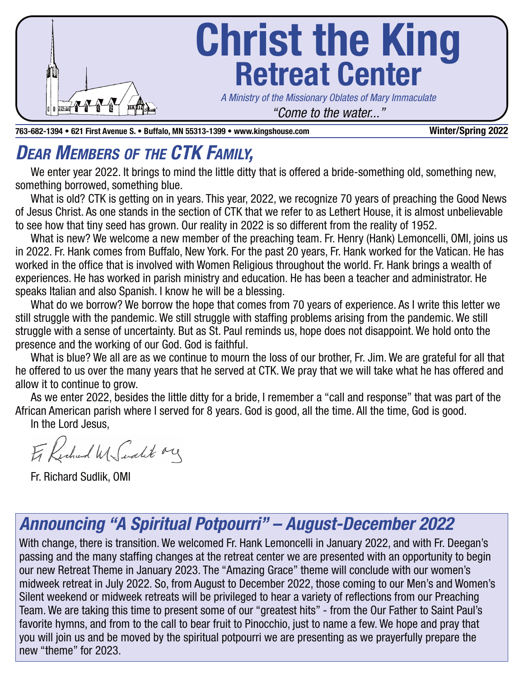

**763-682-1394 • 621 First Avenue S. • Buffalo, MN 55313-1399 • www.kingshouse.com Winter/Spring 2022**

# **DEAR MEMBERS OF THE CTK FAMILY,**

We enter year 2022. It brings to mind the little ditty that is offered a bride-something old, something new, something borrowed, something blue.

What is old? CTK is getting on in years. This year, 2022, we recognize 70 years of preaching the Good News of Jesus Christ. As one stands in the section of CTK that we refer to as Lethert House, it is almost unbelievable to see how that tiny seed has grown. Our reality in 2022 is so different from the reality of 1952.

What is new? We welcome a new member of the preaching team. Fr. Henry (Hank) Lemoncelli, OMI, joins us in 2022. Fr. Hank comes from Buffalo, New York. For the past 20 years, Fr. Hank worked for the Vatican. He has worked in the office that is involved with Women Religious throughout the world. Fr. Hank brings a wealth of experiences. He has worked in parish ministry and education. He has been a teacher and administrator. He speaks Italian and also Spanish. I know he will be a blessing.

What do we borrow? We borrow the hope that comes from 70 years of experience. As I write this letter we still struggle with the pandemic. We still struggle with staffing problems arising from the pandemic. We still struggle with a sense of uncertainty. But as St. Paul reminds us, hope does not disappoint. We hold onto the presence and the working of our God. God is faithful.

What is blue? We all are as we continue to mourn the loss of our brother, Fr. Jim. We are grateful for all that he offered to us over the many years that he served at CTK. We pray that we will take what he has offered and allow it to continue to grow.

As we enter 2022, besides the little ditty for a bride, I remember a "call and response" that was part of the African American parish where I served for 8 years. God is good, all the time. All the time, God is good. In the Lord Jesus,

Er Kechard W Sudit ory

Fr. Richard Sudlik, OMI

# **Announcing "A Spiritual Potpourri" – August-December 2022**

With change, there is transition. We welcomed Fr. Hank Lemoncelli in January 2022, and with Fr. Deegan's passing and the many staffing changes at the retreat center we are presented with an opportunity to begin our new Retreat Theme in January 2023. The "Amazing Grace" theme will conclude with our women's midweek retreat in July 2022. So, from August to December 2022, those coming to our Men's and Women's Silent weekend or midweek retreats will be privileged to hear a variety of reflections from our Preaching Team. We are taking this time to present some of our "greatest hits" - from the Our Father to Saint Paul's favorite hymns, and from to the call to bear fruit to Pinocchio, just to name a few. We hope and pray that you will join us and be moved by the spiritual potpourri we are presenting as we prayerfully prepare the new "theme" for 2023.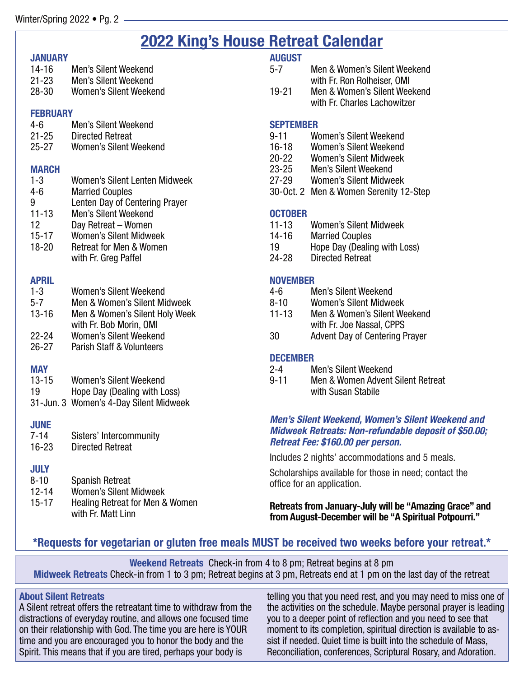## **2022 King's House Retreat Calendar**

#### **JANUARY**

| 14-16 | <b>Men's Silent Weekend</b> |
|-------|-----------------------------|
| 21-23 | <b>Men's Silent Weekend</b> |
| 28-30 | Women's Silent Weekend      |

#### **FEBRUARY**

| 4-հ       | <b>Men's Silent Weekend</b> |  |
|-----------|-----------------------------|--|
| $21 - 25$ | <b>Directed Retreat</b>     |  |
| $25 - 27$ | Women's Silent Weekend      |  |

#### **MARCH**

| $1 - 3$   | <b>Women's Silent Lenten Midweek</b> |
|-----------|--------------------------------------|
| $4 - 6$   | <b>Married Couples</b>               |
| 9         | Lenten Day of Centering Prayer       |
| $11 - 13$ | <b>Men's Silent Weekend</b>          |
| 12        | Day Retreat - Women                  |
| $15 - 17$ | <b>Women's Silent Midweek</b>        |
| $18 - 20$ | <b>Retreat for Men &amp; Women</b>   |
|           | with Fr. Greg Paffel                 |

### **APRIL**

| $1 - 3$   | Women's Silent Weekend         |
|-----------|--------------------------------|
| $5 - 7$   | Men & Women's Silent Midweek   |
| $13 - 16$ | Men & Women's Silent Holy Week |
|           | with Fr. Bob Morin, OMI        |
| 22-24     | Women's Silent Weekend         |

26-27 Parish Staff & Volunteers

### **MAY**

- 19 Hope Day (Dealing with Loss)
- 31-Jun. 3 Women's 4-Day Silent Midweek

### **JUNE**

| 7-14      | Sisters' Intercommunity |
|-----------|-------------------------|
| $16 - 23$ | <b>Directed Retreat</b> |

### **JULY**

| $8 - 10$  | <b>Spanish Retreat</b>          |
|-----------|---------------------------------|
| $12 - 14$ | <b>Women's Silent Midweek</b>   |
| $15 - 17$ | Healing Retreat for Men & Women |
|           | with Fr. Matt Linn              |

### **AUGUST**

| $5 - 7$   | Men & Women's Silent Weekend |  |
|-----------|------------------------------|--|
|           | with Fr. Ron Rolheiser, OMI  |  |
| $19 - 21$ | Men & Women's Silent Weekend |  |
|           | with Fr. Charles Lachowitzer |  |

### **SEPTEMBER**

- 9-11 Women's Silent Weekend
- 16-18 Women's Silent Weekend<br>20-22 Women's Silent Midweek
- 20-22 Women's Silent Midweek<br>23-25 Men's Silent Weekend
- Men's Silent Weekend
- 27-29 Women's Silent Midweek
- 30-Oct. 2 Men & Women Serenity 12-Step

#### **OCTOBER**

- 11-13 Women's Silent Midweek
- 14-16 Married Couples
- 19 Hope Day (Dealing with Loss)
- 24-28 Directed Retreat

#### **NOVEMBER**

- 4-6 Men's Silent Weekend
- 8-10 Women's Silent Midweek
- 11-13 Men & Women's Silent Weekend with Fr. Joe Nassal, CPPS
- 30 Advent Day of Centering Prayer

### **DECEMBER**

- 2-4 Men's Silent Weekend
- 9-11 Men & Women Advent Silent Retreat with Susan Stabile

#### **Men's Silent Weekend, Women's Silent Weekend and Midweek Retreats: Non-refundable deposit of \$50.00; Retreat Fee: \$160.00 per person.**

Includes 2 nights' accommodations and 5 meals.

Scholarships available for those in need; contact the office for an application.

**Retreats from January-July will be "Amazing Grace" and from August-December will be "A Spiritual Potpourri."** 

### **\*Requests for vegetarian or gluten free meals MUST be received two weeks before your retreat.\***

**Weekend Retreats** Check-in from 4 to 8 pm; Retreat begins at 8 pm **Midweek Retreats** Check-in from 1 to 3 pm; Retreat begins at 3 pm, Retreats end at 1 pm on the last day of the retreat

### **About Silent Retreats**

A Silent retreat offers the retreatant time to withdraw from the distractions of everyday routine, and allows one focused time on their relationship with God. The time you are here is YOUR time and you are encouraged you to honor the body and the Spirit. This means that if you are tired, perhaps your body is

telling you that you need rest, and you may need to miss one of the activities on the schedule. Maybe personal prayer is leading you to a deeper point of reflection and you need to see that moment to its completion, spiritual direction is available to assist if needed. Quiet time is built into the schedule of Mass, Reconciliation, conferences, Scriptural Rosary, and Adoration.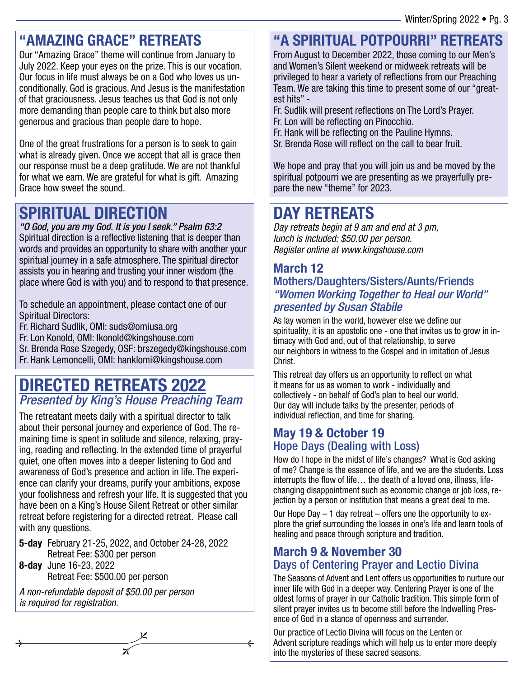## **"AMAZING GRACE" RETREATS**

Our "Amazing Grace" theme will continue from January to July 2022. Keep your eyes on the prize. This is our vocation. Our focus in life must always be on a God who loves us unconditionally. God is gracious. And Jesus is the manifestation of that graciousness. Jesus teaches us that God is not only more demanding than people care to think but also more generous and gracious than people dare to hope.

One of the great frustrations for a person is to seek to gain what is already given. Once we accept that all is grace then our response must be a deep gratitude. We are not thankful for what we earn. We are grateful for what is gift. Amazing Grace how sweet the sound.

## **SPIRITUAL DIRECTION**

"O God, you are my God. It is you I seek." Psalm 63:2 Spiritual direction is a reflective listening that is deeper than words and provides an opportunity to share with another your spiritual journey in a safe atmosphere. The spiritual director assists you in hearing and trusting your inner wisdom (the place where God is with you) and to respond to that presence.

To schedule an appointment, please contact one of our Spiritual Directors:

Fr. Richard Sudlik, OMI: suds@omiusa.org

Fr. Lon Konold, OMI: lkonold@kingshouse.com

Sr. Brenda Rose Szegedy, OSF: brszegedy@kingshouse.com

Fr. Hank Lemoncelli, OMI: hanklomi@kingshouse.com

## **DIRECTED RETREATS 2022** Presented by King's House Preaching Team

The retreatant meets daily with a spiritual director to talk about their personal journey and experience of God. The remaining time is spent in solitude and silence, relaxing, praying, reading and reflecting. In the extended time of prayerful quiet, one often moves into a deeper listening to God and awareness of God's presence and action in life. The experience can clarify your dreams, purify your ambitions, expose your foolishness and refresh your life. It is suggested that you have been on a King's House Silent Retreat or other similar retreat before registering for a directed retreat. Please call with any questions.

**5-day** February 21-25, 2022, and October 24-28, 2022 Retreat Fee: \$300 per person

**8-day** June 16-23, 2022 Retreat Fee: \$500.00 per person

A non-refundable deposit of \$50.00 per person is required for registration.

# **"A SPIRITUAL POTPOURRI" RETREATS**

From August to December 2022, those coming to our Men's and Women's Silent weekend or midweek retreats will be privileged to hear a variety of reflections from our Preaching Team. We are taking this time to present some of our "greatest hits" -

- Fr. Sudlik will present reflections on The Lord's Prayer. Fr. Lon will be reflecting on Pinocchio.
- Fr. Hank will be reflecting on the Pauline Hymns.
- Sr. Brenda Rose will reflect on the call to bear fruit.

We hope and pray that you will join us and be moved by the spiritual potpourri we are presenting as we prayerfully prepare the new "theme" for 2023.

## **DAY RETREATS**

Day retreats begin at 9 am and end at 3 pm, lunch is included; \$50.00 per person. Register online at www.kingshouse.com

### **March 12**  Mothers/Daughters/Sisters/Aunts/Friends "Women Working Together to Heal our World" presented by Susan Stabile

As lay women in the world, however else we define our spirituality, it is an apostolic one - one that invites us to grow in intimacy with God and, out of that relationship, to serve our neighbors in witness to the Gospel and in imitation of Jesus Christ.

This retreat day offers us an opportunity to reflect on what it means for us as women to work - individually and collectively - on behalf of God's plan to heal our world. Our day will include talks by the presenter, periods of individual reflection, and time for sharing.

### **May 19 & October 19**  Hope Days (Dealing with Loss)

How do I hope in the midst of life's changes? What is God asking of me? Change is the essence of life, and we are the students. Loss interrupts the flow of life… the death of a loved one, illness, lifechanging disappointment such as economic change or job loss, rejection by a person or institution that means a great deal to me.

Our Hope Day – 1 day retreat – offers one the opportunity to explore the grief surrounding the losses in one's life and learn tools of healing and peace through scripture and tradition.

### **March 9 & November 30**  Days of Centering Prayer and Lectio Divina

The Seasons of Advent and Lent offers us opportunities to nurture our inner life with God in a deeper way. Centering Prayer is one of the oldest forms of prayer in our Catholic tradition. This simple form of silent prayer invites us to become still before the Indwelling Presence of God in a stance of openness and surrender.

Our practice of Lectio Divina will focus on the Lenten or Advent scripture readings which will help us to enter more deeply into the mysteries of these sacred seasons.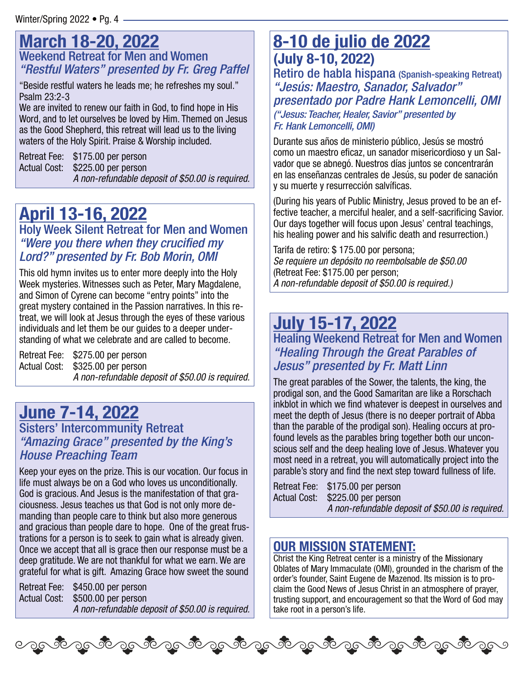### **March 18-20, 2022** Weekend Retreat for Men and Women "Restful Waters" presented by Fr. Greg Paffel

"Beside restful waters he leads me; he refreshes my soul." Psalm 23:2-3

We are invited to renew our faith in God, to find hope in His Word, and to let ourselves be loved by Him. Themed on Jesus as the Good Shepherd, this retreat will lead us to the living waters of the Holy Spirit. Praise & Worship included.

Retreat Fee: \$175.00 per person Actual Cost: \$225.00 per person A non-refundable deposit of \$50.00 is required.

# **April 13-16, 2022**

Holy Week Silent Retreat for Men and Women "Were you there when they crucified my Lord?" presented by Fr. Bob Morin, OMI

This old hymn invites us to enter more deeply into the Holy Week mysteries. Witnesses such as Peter, Mary Magdalene, and Simon of Cyrene can become "entry points" into the great mystery contained in the Passion narratives. In this retreat, we will look at Jesus through the eyes of these various individuals and let them be our guides to a deeper understanding of what we celebrate and are called to become.

Retreat Fee: \$275.00 per person Actual Cost: \$325.00 per person A non-refundable deposit of \$50.00 is required.

## **June 7-14, 2022**

### Sisters' Intercommunity Retreat "Amazing Grace" presented by the King's House Preaching Team

Keep your eyes on the prize. This is our vocation. Our focus in life must always be on a God who loves us unconditionally. God is gracious. And Jesus is the manifestation of that graciousness. Jesus teaches us that God is not only more demanding than people care to think but also more generous and gracious than people dare to hope. One of the great frustrations for a person is to seek to gain what is already given. Once we accept that all is grace then our response must be a deep gratitude. We are not thankful for what we earn. We are grateful for what is gift. Amazing Grace how sweet the sound

Retreat Fee: \$450.00 per person Actual Cost: \$500.00 per person A non-refundable deposit of \$50.00 is required.

ಾಂತ್ರೊಂತ್ ಎಂಬಿ ಸಂತೋಷ್ ಸಂತೋಷ್ ಸಂತೋಷ್ ಸಂತೋಷ್

## **8-10 de julio de 2022 (July 8-10, 2022)**

Retiro de habla hispana (Spanish-speaking Retreat) "Jesús: Maestro, Sanador, Salvador" presentado por Padre Hank Lemoncelli, OMI ("Jesus: Teacher, Healer, Savior" presented by Fr. Hank Lemoncelli, OMI)

Durante sus años de ministerio público, Jesús se mostró como un maestro eficaz, un sanador misericordioso y un Salvador que se abnegó. Nuestros días juntos se concentrarán en las enseñanzas centrales de Jesús, su poder de sanación y su muerte y resurrección salvíficas.

(During his years of Public Ministry, Jesus proved to be an effective teacher, a merciful healer, and a self-sacrificing Savior. Our days together will focus upon Jesus' central teachings, his healing power and his salvific death and resurrection.)

Tarifa de retiro: \$ 175.00 por persona; Se requiere un depósito no reembolsable de \$50.00 (Retreat Fee: \$175.00 per person; A non-refundable deposit of \$50.00 is required.)

## **July 15-17, 2022**

Healing Weekend Retreat for Men and Women "Healing Through the Great Parables of Jesus" presented by Fr. Matt Linn

The great parables of the Sower, the talents, the king, the prodigal son, and the Good Samaritan are like a Rorschach inkblot in which we find whatever is deepest in ourselves and meet the depth of Jesus (there is no deeper portrait of Abba than the parable of the prodigal son). Healing occurs at profound levels as the parables bring together both our unconscious self and the deep healing love of Jesus. Whatever you most need in a retreat, you will automatically project into the parable's story and find the next step toward fullness of life.

```
Retreat Fee: $175.00 per person 
Actual Cost: $225.00 per person 
              A non-refundable deposit of $50.00 is required.
```
### **OUR MISSION STATEMENT:**

Christ the King Retreat center is a ministry of the Missionary Oblates of Mary Immaculate (OMI), grounded in the charism of the order's founder, Saint Eugene de Mazenod. Its mission is to proclaim the Good News of Jesus Christ in an atmosphere of prayer, trusting support, and encouragement so that the Word of God may take root in a person's life.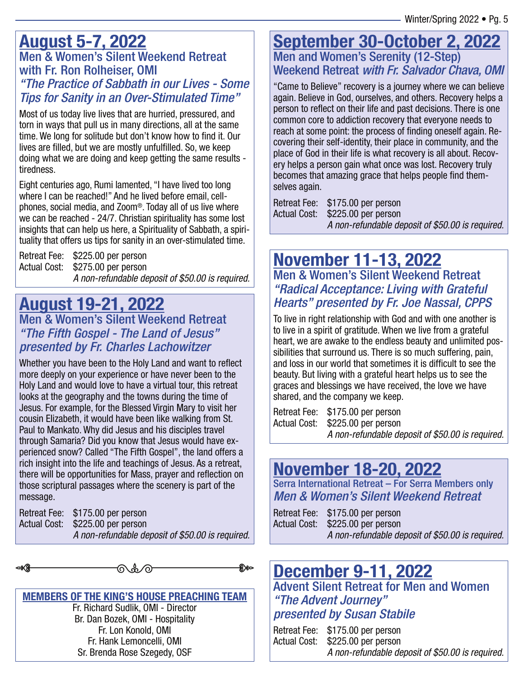### **August 5-7, 2022** Men & Women's Silent Weekend Retreat with Fr. Ron Rolheiser, OMI "The Practice of Sabbath in our Lives - Some Tips for Sanity in an Over-Stimulated Time"

Most of us today live lives that are hurried, pressured, and torn in ways that pull us in many directions, all at the same time. We long for solitude but don't know how to find it. Our lives are filled, but we are mostly unfulfilled. So, we keep doing what we are doing and keep getting the same results tiredness.

Eight centuries ago, Rumi lamented, "I have lived too long where I can be reached!" And he lived before email, cellphones, social media, and Zoom®. Today all of us live where we can be reached - 24/7. Christian spirituality has some lost insights that can help us here, a Spirituality of Sabbath, a spirituality that offers us tips for sanity in an over-stimulated time.

Retreat Fee: \$225.00 per person Actual Cost: \$275.00 per person A non-refundable deposit of \$50.00 is required.

### **August 19-21, 2022** Men & Women's Silent Weekend Retreat "The Fifth Gospel - The Land of Jesus" presented by Fr. Charles Lachowitzer

Whether you have been to the Holy Land and want to reflect more deeply on your experience or have never been to the Holy Land and would love to have a virtual tour, this retreat looks at the geography and the towns during the time of Jesus. For example, for the Blessed Virgin Mary to visit her cousin Elizabeth, it would have been like walking from St. Paul to Mankato. Why did Jesus and his disciples travel through Samaria? Did you know that Jesus would have experienced snow? Called "The Fifth Gospel", the land offers a rich insight into the life and teachings of Jesus. As a retreat, there will be opportunities for Mass, prayer and reflection on those scriptural passages where the scenery is part of the message.

Retreat Fee: \$175.00 per person Actual Cost: \$225.00 per person A non-refundable deposit of \$50.00 is required.

ଋക∕ര

୫୫∞

**MEMBERS OF THE KING'S HOUSE PREACHING TEAM** Fr. Richard Sudlik, OMI - Director Br. Dan Bozek, OMI - Hospitality Fr. Lon Konold, OMI Fr. Hank Lemoncelli, OMI Sr. Brenda Rose Szegedy, OSF

### **September 30-October 2, 2022** Men and Women's Serenity (12-Step) Weekend Retreat with Fr. Salvador Chava, OMI

"Came to Believe" recovery is a journey where we can believe again. Believe in God, ourselves, and others. Recovery helps a person to reflect on their life and past decisions. There is one common core to addiction recovery that everyone needs to reach at some point: the process of finding oneself again. Recovering their self-identity, their place in community, and the place of God in their life is what recovery is all about. Recovery helps a person gain what once was lost. Recovery truly becomes that amazing grace that helps people find themselves again.

Retreat Fee: \$175.00 per person Actual Cost: \$225.00 per person A non-refundable deposit of \$50.00 is required.

## **November 11-13, 2022** Men & Women's Silent Weekend Retreat

"Radical Acceptance: Living with Grateful Hearts" presented by Fr. Joe Nassal, CPPS

To live in right relationship with God and with one another is to live in a spirit of gratitude. When we live from a grateful heart, we are awake to the endless beauty and unlimited possibilities that surround us. There is so much suffering, pain, and loss in our world that sometimes it is difficult to see the beauty. But living with a grateful heart helps us to see the graces and blessings we have received, the love we have shared, and the company we keep.

Retreat Fee: \$175.00 per person Actual Cost: \$225.00 per person A non-refundable deposit of \$50.00 is required.

# **November 18-20, 2022**

Serra International Retreat – For Serra Members only Men & Women's Silent Weekend Retreat

Retreat Fee: \$175.00 per person Actual Cost: \$225.00 per person A non-refundable deposit of \$50.00 is required.

# **December 9-11, 2022**

Advent Silent Retreat for Men and Women "The Advent Journey" presented by Susan Stabile

| Retreat Fee: \$175.00 per person                 |
|--------------------------------------------------|
| Actual Cost: \$225.00 per person                 |
| A non-refundable deposit of \$50.00 is required. |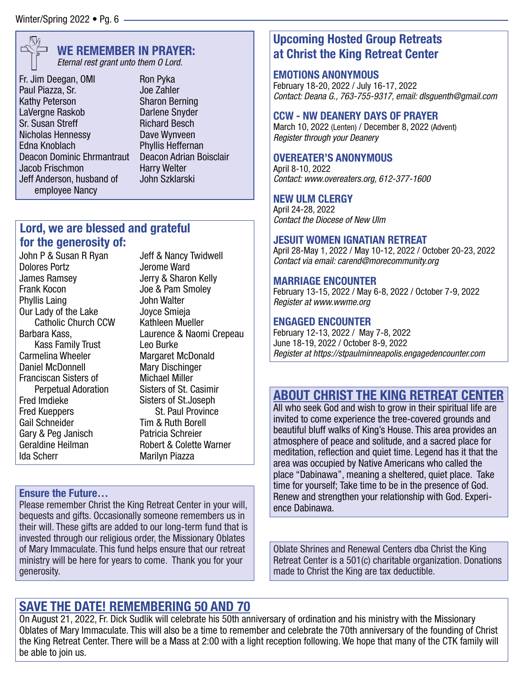

### **WE REMEMBER IN PRAYER:**

Eternal rest grant unto them O Lord.

Fr. Jim Deegan, OMI Paul Piazza, Sr. Kathy Peterson LaVergne Raskob Sr. Susan Streff Nicholas Hennessy Edna Knoblach Deacon Dominic Ehrmantraut Jacob Frischmon Jeff Anderson, husband of employee Nancy

Ron Pyka Joe Zahler Sharon Berning Darlene Snyder Richard Besch Dave Wynveen Phyllis Heffernan Deacon Adrian Boisclair Harry Welter John Szklarski

### **Lord, we are blessed and grateful for the generosity of:**

John P & Susan R Ryan Dolores Portz James Ramsey Frank Kocon Phyllis Laing Our Lady of the Lake Catholic Church CCW Barbara Kass, Kass Family Trust Carmelina Wheeler Daniel McDonnell Franciscan Sisters of Perpetual Adoration Fred Imdieke Fred Kueppers Gail Schneider Gary & Peg Janisch Geraldine Heilman Ida Scherr

Jeff & Nancy Twidwell Jerome Ward Jerry & Sharon Kelly Joe & Pam Smoley John Walter Joyce Smieja Kathleen Mueller Laurence & Naomi Crepeau Leo Burke Margaret McDonald Mary Dischinger Michael Miller Sisters of St. Casimir Sisters of St.Joseph St. Paul Province Tim & Ruth Borell Patricia Schreier Robert & Colette Warner Marilyn Piazza

### **Ensure the Future…**

Please remember Christ the King Retreat Center in your will, bequests and gifts. Occasionally someone remembers us in their will. These gifts are added to our long-term fund that is invested through our religious order, the Missionary Oblates of Mary Immaculate. This fund helps ensure that our retreat ministry will be here for years to come. Thank you for your generosity.

### **Upcoming Hosted Group Retreats at Christ the King Retreat Center**

#### **EMOTIONS ANONYMOUS**

February 18-20, 2022 / July 16-17, 2022 Contact: Deana G., 763-755-9317, email: dlsguenth@gmail.com

### **CCW - NW DEANERY DAYS OF PRAYER**

March 10, 2022 (Lenten) / December 8, 2022 (Advent) Register through your Deanery

#### **OVEREATER'S ANONYMOUS**

April 8-10, 2022 Contact: www.overeaters.org, 612-377-1600

#### **NEW ULM CLERGY**

April 24-28, 2022 Contact the Diocese of New Ulm

#### **JESUIT WOMEN IGNATIAN RETREAT**

April 28-May 1, 2022 / May 10-12, 2022 / October 20-23, 2022 Contact via email: carend@morecommunity.org

#### **MARRIAGE ENCOUNTER**

February 13-15, 2022 / May 6-8, 2022 / October 7-9, 2022 Register at www.wwme.org

#### **ENGAGED ENCOUNTER**

February 12-13, 2022 / May 7-8, 2022 June 18-19, 2022 / October 8-9, 2022 Register at https://stpaulminneapolis.engagedencounter.com

### **ABOUT CHRIST THE KING RETREAT CENTER**

All who seek God and wish to grow in their spiritual life are invited to come experience the tree-covered grounds and beautiful bluff walks of King's House. This area provides an atmosphere of peace and solitude, and a sacred place for meditation, reflection and quiet time. Legend has it that the area was occupied by Native Americans who called the place "Dabinawa", meaning a sheltered, quiet place. Take time for yourself; Take time to be in the presence of God. Renew and strengthen your relationship with God. Experience Dabinawa.

Oblate Shrines and Renewal Centers dba Christ the King Retreat Center is a 501(c) charitable organization. Donations made to Christ the King are tax deductible.

### **SAVE THE DATE! REMEMBERING 50 AND 70**

On August 21, 2022, Fr. Dick Sudlik will celebrate his 50th anniversary of ordination and his ministry with the Missionary Oblates of Mary Immaculate. This will also be a time to remember and celebrate the 70th anniversary of the founding of Christ the King Retreat Center. There will be a Mass at 2:00 with a light reception following. We hope that many of the CTK family will be able to join us.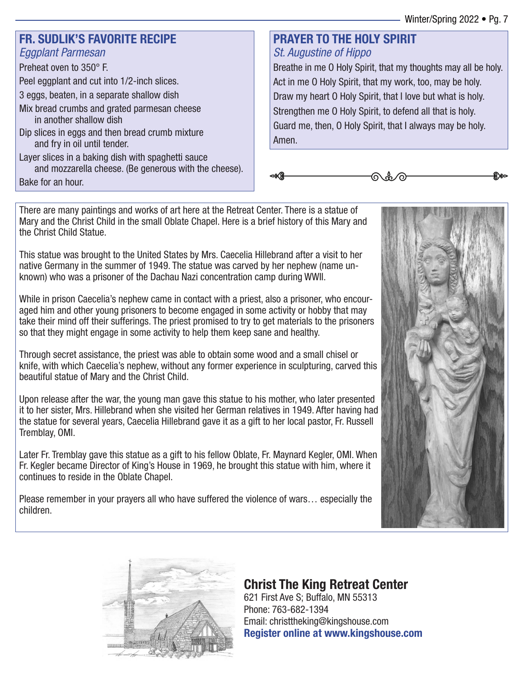### **FR. SUDLIK'S FAVORITE RECIPE** Eggplant Parmesan

### Preheat oven to 350° F.

Peel eggplant and cut into 1/2-inch slices.

- 3 eggs, beaten, in a separate shallow dish
- Mix bread crumbs and grated parmesan cheese in another shallow dish
- Dip slices in eggs and then bread crumb mixture and fry in oil until tender.
- Layer slices in a baking dish with spaghetti sauce and mozzarella cheese. (Be generous with the cheese).

### **PRAYER TO THE HOLY SPIRIT** St. Augustine of Hippo

Breathe in me O Holy Spirit, that my thoughts may all be holy. Act in me O Holy Spirit, that my work, too, may be holy. Draw my heart O Holy Spirit, that I love but what is holy. Strengthen me O Holy Spirit, to defend all that is holy. Guard me, then, O Holy Spirit, that I always may be holy. Amen.

ଋೊ∕

Bake for an hour.

There are many paintings and works of art here at the Retreat Center. There is a statue of Mary and the Christ Child in the small Oblate Chapel. Here is a brief history of this Mary and the Christ Child Statue.

This statue was brought to the United States by Mrs. Caecelia Hillebrand after a visit to her native Germany in the summer of 1949. The statue was carved by her nephew (name unknown) who was a prisoner of the Dachau Nazi concentration camp during WWII.

While in prison Caecelia's nephew came in contact with a priest, also a prisoner, who encouraged him and other young prisoners to become engaged in some activity or hobby that may take their mind off their sufferings. The priest promised to try to get materials to the prisoners so that they might engage in some activity to help them keep sane and healthy.

Through secret assistance, the priest was able to obtain some wood and a small chisel or knife, with which Caecelia's nephew, without any former experience in sculpturing, carved this beautiful statue of Mary and the Christ Child.

Upon release after the war, the young man gave this statue to his mother, who later presented it to her sister, Mrs. Hillebrand when she visited her German relatives in 1949. After having had the statue for several years, Caecelia Hillebrand gave it as a gift to her local pastor, Fr. Russell Tremblay, OMI.

Later Fr. Tremblay gave this statue as a gift to his fellow Oblate, Fr. Maynard Kegler, OMI. When Fr. Kegler became Director of King's House in 1969, he brought this statue with him, where it continues to reside in the Oblate Chapel.

Please remember in your prayers all who have suffered the violence of wars… especially the children.





## **Christ The King Retreat Center**

621 First Ave S; Buffalo, MN 55313 Phone: 763-682-1394 Email: christtheking@kingshouse.com **Register online at www.kingshouse.com**